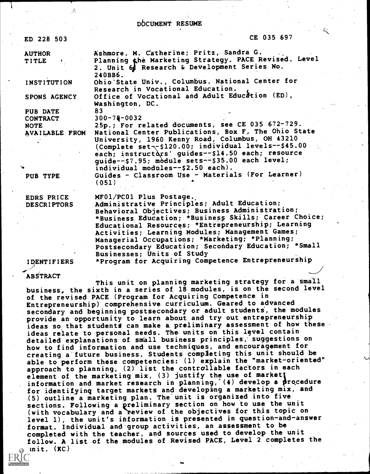#### .D6CUMENT RESUME

| ED 228 503             | CE 035 697                                                                                                                                                                                                                                                                                                 |  |
|------------------------|------------------------------------------------------------------------------------------------------------------------------------------------------------------------------------------------------------------------------------------------------------------------------------------------------------|--|
| <b>AUTHOR</b><br>TITLE | Ashmore, M. Catherine; Pritz, Sandra G.<br>Planning the Marketing Strategy. PACE Revised. Level<br>2. Unit 6 Research & Development Series No.<br>240BB6.                                                                                                                                                  |  |
| INSTITUTION            | Ohio State Univ., Columbus. National Center for<br>Research in Vocational Education.                                                                                                                                                                                                                       |  |
| SPONS AGENCY           | Office of Vocational and Adult Education (ED),<br>Washington, DC.                                                                                                                                                                                                                                          |  |
| PUB DATE               | 83                                                                                                                                                                                                                                                                                                         |  |
| <b>CONTRACT</b>        | $300 - 78 - 0032$                                                                                                                                                                                                                                                                                          |  |
| <b>NOTE</b>            | 25p.; For related documents, see CE 035 672-729.                                                                                                                                                                                                                                                           |  |
| AVAILABLE FROM         | National Center Publications, Box F, The Ohio State<br>University, 1960 Kenny Road, Columbus, OH 43210<br>(Complete set--\$120.00; individual levels--\$45.00<br>each; instructors' guides--\$14.50 each; resource<br>guide--\$7.95; module sets--\$35.00 each level;<br>individual modules--\$2.50 each). |  |
| PUB TYPE               | Guides - Classroom Use - Materials (For Learner)<br>(051)                                                                                                                                                                                                                                                  |  |
| EDRS PRICE             | MF01/PC01 Plus Postage.                                                                                                                                                                                                                                                                                    |  |
| <b>DESCRIPTORS</b>     | Administrative Principles; Adult Education;<br>Behavioral Objectives; Business Administration;<br>*Business Education; *Business Skills; Career Choice;<br>Educational Resources; *Entrepreneurship; Learning<br>Activities; Learning Modules; Management Games;                                           |  |

IDENTIFIERS

Businesses; Units of Study \*Program for Acquiring Competence Entrepreneurship

Managerial Occupations; \*Marketing; \*Planning; Postsecondary Education; Secondary Education; \*Small

#### ABSTRACT

This unit on planning marketing strategy for a small business, the sixth in a series of 18 modules, is on the second level of the revised PACE (Program for Acquiring Competence in Entrepreneurship) comprehensive curriculum. Geared to advanced secondary and beginning postsecondary or adult students, the modules provide an opportunity to learn about and try out entrepreneurship ideas so that students can make a preliminary assessment of how these ideas relate to personal needs. The units on this 19vel contain detailed explanations of small business principles, suggestions on how to find information and use techniques, and encouragement for creating a'future business. Students completing this unit should be able to perform these competencies: (1) explain the "market-oriented" approach to planning, (2) list the controllable factors in each element of the marketing mix,  $(3)$  justify the use of market information and market research in planning, (4) develop a procedure for identifying target markets and developing a marketing mix, and (5) outline a marketing plan. The unit is organized into five sections. Following a preliminary section on how to use the unit (with vocabulary and a review of the objectives for this topic on level 1), the unit's information is presented in question-and-answer format. Individual and'group activities, an assessment to be completed with the teacher, and sources used to develop the unit follow. A list of the modules of Revised PACE, Level 2 completes the  $\cdot$ init.  $(KC)$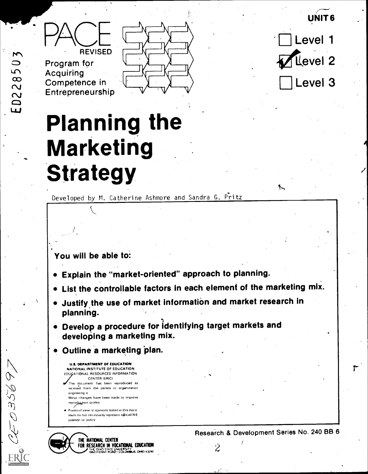UNIT 6



 $\sum$ 

ED22850

5995026

Program for Acquiring Competence in Entrepreneurship



Level 1 Level 2 Level 3

# Planning the Marketing **Strategy**

Developed by M. Catherine Ashmore and Sandra G. Pritz

### You will be able to:

- Explain the "market-oriented" approach to planning.
- List the controllable factors in each element of the marketing mix.
- Uustify the use of market information and market research in planning.
- Develop a procedure for identifying target markets and developing a marketing mix.
- Outline a marketing plan.
	- U.S. DEPARTMENT OF EDUCATION NATIONAL INSTITUTE OF EOUCATION EDUCATIONAL RESOURCES INFORMATION CENTER IERIC) This document has been reproduced as
	- received from the person or organization origrnaling it Minor changet have been made to improve reproduction quality
	- Points of view or pointons stated in this docu ment do not necessarily represent official NIE position 01 policy

THE NATIONAL CENTER FOR RESEARCH IN VOCATIONAL EDUCATION Research & Development Series No. 240 BB 6<br> $\overleftrightarrow{2}$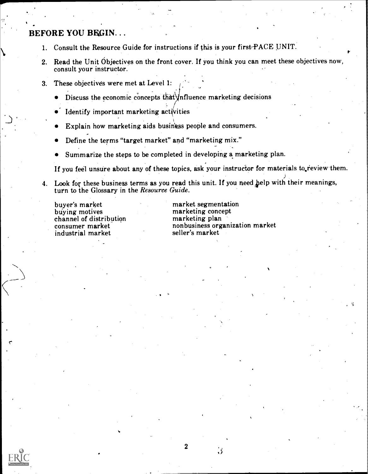### BEFORE YOU BRGIN...

- 1. Consult the Resource Guide for instructions if this is your firstPACE UNIT.
- 2. Read the Unit Objectives on the front cover. If you think you can meet these objectives now, consult your instructor.
- 3. These objectives were met at Level 1:
	- Discuss the economic concepts that  $\text{Mn}$  fluence marketing decisions
	- $\bullet$  Identify important marketing activities
	- Explain how marketing aids business people and consumers.
	- Define the terms "target market" and "marketing mix."
	- Summarize the steps to be completed in developing a marketing plan.

If you feel unsure about any of these topics, ask your instructor for materials to review them.

4. Look for these business terms as you read this unit. If you need help with their meanings, turn to the Glossary in the Resource Guide.

buyer's market buying motives channel of distribution consumer market industrial market

market segmentation marketing concept marketing plan nonbusiness organization market seller's market



2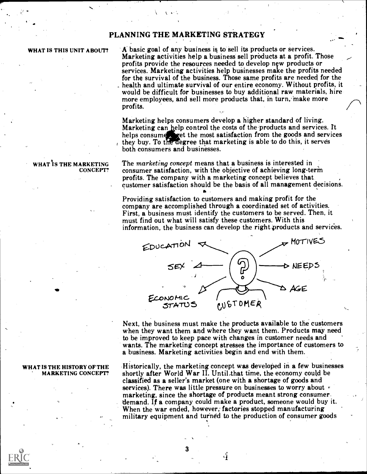### PLANNING THE MARKETING STRATEGY

#### WHAT IS THIS UNIT ABOUT?

A basic goal of any business is to sell its products or services. Marketing activities help a business sell products at a profit. Those profits provide the resources needed to develop new products or services. Marketing activities help businesses make the profits needed for the survival of the business. Those same profits are needed for the health and ultimate survival of our entire economy. Without profits, it would be difficult for businesses to buy additional raw materials, hire more employees, and sell more products that, in turn, make more profits.

Marketing helps consumers develop a bigher standard of living. Marketing can help control the costs of the products and services. It helps consume set the most satisfaction from the goods and services they buy. To the degree that marketing is able to do this, it serves both consumers and businesses.

The marketing concept means that a business is interested in consumer satisfaction, with the objective of achieving long-terin profits. The company with a marketing concept believes that customer satisfaction should be the basis of all management decisions.

Providing satisfaction to customers and making profit for the company are accomplished through a coordinated set of activities. First, a business must identify the customers to be served. Then, it must find out what will satisfy these customers. With this information, the business can develop the right products and services.



Next, the business must make the products available to the customers when they want them and where they want them. Products may need to be improved to keep pace with changes in customer needs and wants. The marketing concept stresses the importance of customers to a business. Marketing activities begin and end with them.

Historically, the marketing concept was developed in a few businesses shortly after World War II. Until that time, the economy could be classified as a seller's market (one with a shortage of goods and services). There was little pressure on businesses to worry about  $\epsilon$ marketing, since the shortage of products meant strong consumer. demand. If a company could make a product, someone would buy it. When the war ended, however, factories stopped manufacturing<br>military equipment and turned to the production of consumer goods

4

3

#### HAT IS THE MARKETING CONCEPT?

#### WHAT IS THE HISTORY OFTHE MARKETING CONCEPT?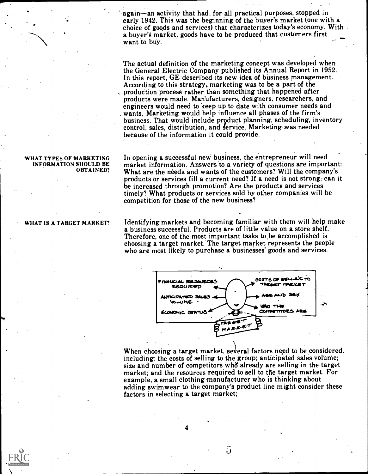again—an activity that had, for all practical purposes, stopped in early 1942. This was the beginning of the buyer's market (one with a choice of goods and services) that characterizes today's economy. With enoice of goods and services) that characterizes would secondity. While<br>a buyer's market, goods have to be produced that customers first

The actual definition of the marketing concept was developed when the General Electric Company published its Annual Report in 1952. In this report, GE described its new idea of business management.<br>According to this strategy, marketing was to be a part of the production process rather than something that happened after products were made. Manufacturers, designers, researchers, and engineers would need to keep up to date with consumer needs and wants. Marketing would help influence all phases of the firm's business. That would include product planning, scheduling, inventory control, sales, distribution, and service. Marketing was needed because of the information it could provide.

WHAT TYPES OF MARKETING In opening a successful new business, the entrepreneur will need OBTAINED? What are the needs and wants of the customers? Will the company's market information. Answers to a variety of questions are important: products or services fill a current need? If a need is not strong, can it be increased through promotion? Are the products and services timely? What products or services sold by other companies will be competition for those of the new business?

> Identifying markets and becoming familiar with them will help make a business successful. Products are of little value on a store shelf. Therefore, one of the most important tasks to be accomplished is choosing a target market. The target market represents the people who are most likely to purchase a businesses' goods and services.



When choosing a target market, several factors need to be considered. including: the costs of selling to the group; anticipated sales volume; size and number of competitors who' already are selling in the target market; and the resources required to sell to the target market. For example, a small clothing manufacturer who is thinking about adding swimwear to the company's product line might consider these factors in selecting a target market;

INFORMATION SHOULD BE

#### WHAT IS A TARGET MARKET?

4

 $\mathfrak{S}$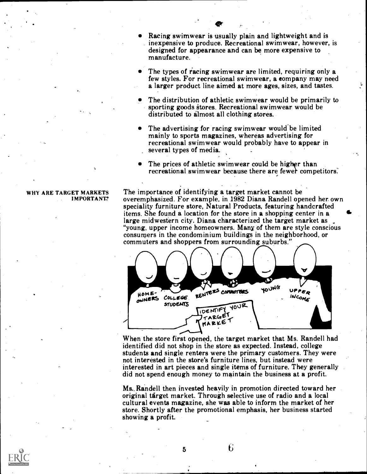Racing swimwear is usually plain and lightweight and is inexpensive to produce. Recreational swimwear, however, is designed for appearance and can be more expensive to manufacture.

 $\bullet$ 

- The types of racing swimwear are limited, requiring only a few styles. For recreational swimwear, a eompany may need a larger product line aimed at more ages, sizes, and tastes.
- The distribution of athletic swimwear would be primarily to sporting goods stores. Recreational swimwear would be distributed to almost all clothing stores.
- The advertising for racing swimwear would be limited mainly to sports magazines, whereas advertising for recreational swimwear would probably have to appear in several types of media.
- The prices of athletic swimwear could be higher than recreational swimwear because there are fewer competitors.

### IMPORTANI?

WHY ARE TARGET MARKETS The importance of identifying a target market cannot be overemphasized. For example, in 1982 Diana Randell opened her own speciality furniture store, Natural Products, featuring handcrafted items. She found a location for the store in a shopping center in a large midwestern city. Diana characterized the target market as "young, upper income homeowners. Many of them are style conscious consumers in the condominium buildings in the neighborhood, or commuters and shoppers from surrounding suburbs."



When the store first opened, the target market that Ms. Randell had identified did not shop in the store as expected. Instead, college students and single renters were the primary customers. They were not interested in the store's furniture lines, but instead were interested in art pieces and single items of furniture. They generally did not spend enough money to maintain the business at a profit.

Ms. Randell then invested heavily in promotion directed toward her original target market. Through selective use of radio and a local cultural events magazine, she was able to inform the market of her store. Shortly after the promotional emphasis, her business started showing a profit.

6

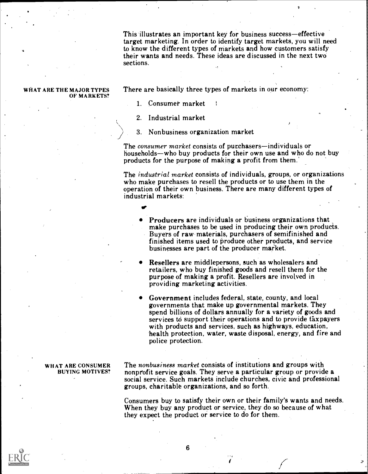This illustrates an important key for business success—effective target marketing. In order to identify target markets, you will need to know the different types of markets and how customers satisfy their wants and needs. These ideas are discussed in the next two sections.

## OF MARKETS?

WHAT ARE THE MAJOR TYPES There are basically three types of markets in our economy:

1. Consumer market

2. Industrial market

vr

3. Nonbusiness organization market

The *consumer market* consists of purchasers—individuals or households—who buy products for their own use and who do not buy products for the purpose of making a profit from them.'

The *industrial market* consists of individuals, groups, or organizations who make purchases to resell the products or to use them in the operation of their own business. There are many different types of industrial markets:

- Producers are individuals or business organizations that make purchases to be used in producing their own products. Buyers of raw materials, purchasers of semifinished and finished items used to produce other products, and service businesses are part of the producer market.
- Resellers are middlepersons, such as wholesalers and retailers, who buy finished goods and resell them for the purpose of making a profit. Resellers are involved in providing marketing activities.
- Government includes federal, state, county, and local governments that make up governmental markets. They spend billions of dollars annually for a variety of goods and services to support their operations and to provide taxpayers with products and services, such as highways, education, health protection, water, waste disposal, energy, and fire and police protection.

## BUYING MOTIVES?

WHAT ARE CONSUMER The nonbusiness market consists of institutions and groups with nonprofit service goals. They serve a particular group or provide a social service. Such markets include churches, civic and professional groups, charitable organizations, and so forth.

> Consumers buy to satisfy their own or their family's wants and needs. When they buy any product or service, they do so because of what they expect the product or service to do for them.

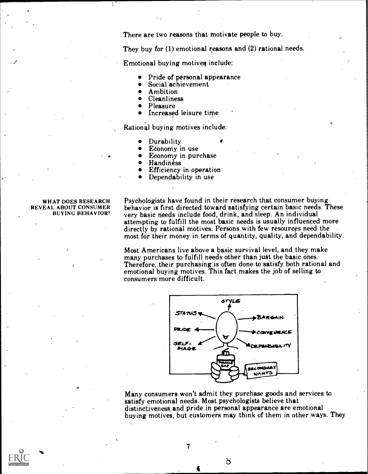There are two reasons that motivate people to buy.

They buy for (I) emotional reasons and (2) rational needs.

Emotional buying motives include:

- Pride of personal appearance
- Social achievement
- Ambition
- Cleanliness
- Pleasure
- Increased leisure time

Rational buying motives include:

- **Durability**
- Edonomy in use
- Economy in purchase
- **Handiness**
- Efficiency in operation Dependability in use
- 

#### WHAT DOES RESEARCH REVEAL ABOUT CONSUMER BUYING BEHAVIOR?

Psychologists have found in their research that consumer buying behavior is first directed toward satisfying certain basic needs. These very basic needs include food, drink, and sleep. An individual attempting to fulfill the most basic needs is usually influenced more directly by rational motives. Persons with few resources need the most for their money in terms of quantity, quality, and dependability.

Most Americans live above a basic survival level, and they make many purchases to fulfill needs other than just the basic ones. Therefore, their purchasing is often done to satisfy both rational and emotional buying motives. This fact makes the job of selling to consumers more difficult.



Many consumers won't admit they purchase goods and services to satisfy emotional needs. Most psychologists believe that distinctiveness and pride in personal appearance are emotional buying motives, but customers may think of them in other ways. They

ď

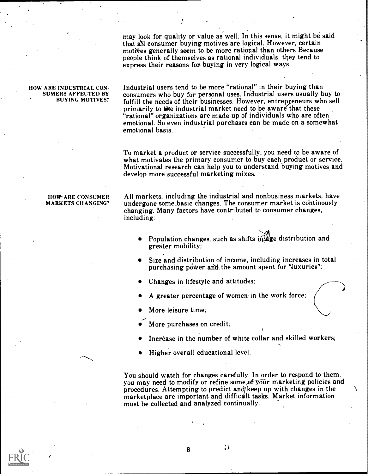may look for quality or value as well. In this sense, it might be said that all consumer buying motives are logical. However, certain motives generally seem to be more rational than others Because people think of themselves as rational individuals, they tend to express their reasons for buying in very logical ways.

#### HOW ARE INDUSTRIAL CON-SUMERS AFFECTED BY BUYING MOTIVES?

Industrial users tend to be more "rational" in their buying than consumers who buy for personal uses. Industrial users usually buy to fulfill the needs of their businesses. However, entrepreneurs who sell primarily to the industrial market need to be aware that these "rational" organizations are made up of individuals who are often emotional. So even industrial purchases can be made on a somewhat emotional basis.

To market a product or service successfully, you need to be aware of what motivates the primary consumer to buy each product or service. Motivational research can help you to understand buying motives and develop more successful marketing mixes.

## MARKETS CHANGING?

HOW ARE CONSUMER All markets, including the industrial and nonbusiness markets, have undergone some basic changes. The consumer market is continously changing. Many factors have contributed to consumer changes, including:

- Population changes, such as shifts in age distribution and greater mobility;
- Size and distribution of income, including increases in total purchasing power and the amount spent for "luxuries";
- Changes in lifestyle and attitudes;
- A greater percentage of women in the work force;
- More leisure time;
- More purchases on credit;
- Increase in the number of white collar and skilled workers;
- Higher overall educational level.

You should watch for changes carefully. In order to respond to them, you may need to modify or refine some of your marketing policies and procedures. Attempting to predict and keep up with changes in the marketplace are important and difficult tasks. Market information must be collected and analyzed continually.

 $\mathcal{A}$ 

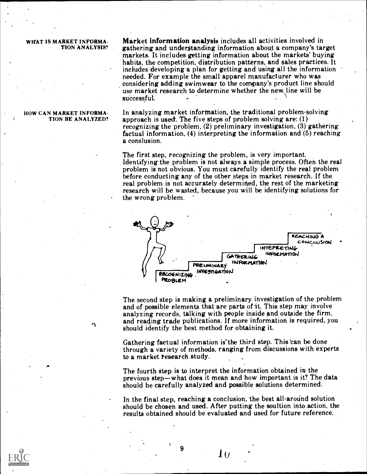#### WHAT IS MARKET INFORMA-TION ANALYSIS?

Market information analysis includes all activities involved in gathering and understanding information about a company's target markets. It includes getting information about the markets' buying habits, the competition, distribution patterns, and sales practices. It includes developing a plan for getting and using all the information<br>needed. For example the small apparel manufacturer who was considering adding swimwear to the company's product line should use market research to determine whether the new line will be successful.

#### HOW CAN MARKET INFORMA- . TION BE ANALYZED?

In analyzing market information, the traditional problem-solving approach is used. The five steps of problem solving are:  $(1)$ recognizing the problem, (2) preliminary investigation, (3) gathering factual information, (4) interpreting the information and (5) reaching a conslusion.

The first step, recognizing the problem, is very important. Identifying the problem is not always a simple process. Often the real problem is not obvious. You must carefully identify the real problem before conducting any of the other steps in market research. If the real problem is not accurately determined, the rest of the marketing research will be wasted, because you will be identifying solutions for the wrong problem.



The second step is making a preliminary investigation of the problem and of possible elements that are parts of it. This step may involve analyzing records, talking with people inside and outside the firm, and reading trade publications. If more information is required, you should identify the best method for obtaining it.

Gathering factual information is the third step. This can be done through a variety of methods, ranging from discussions with experts to a market research study.

The fourth step is to interpret the information obtained in the previous step—what does it mean and how important is it? The data should be carefully analyzed and possible solutions determined.

In the final step, reaching a conclusion, the best all-around solution should be chosen and used. After putting the soultion into action, the results obtained should be evaluated and used for future reference.

9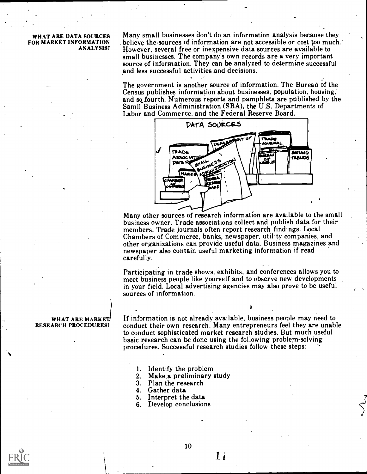#### WHAT ARE DATA SOURCES FOR MARKET INFORMATION ANALYSIS?

Many small businesses don't do an information analysis because they believe the sources of information are not accessible or cost too much.' However, several free or inexpensive data sources are available to small businesses. The company's own records are a very important source of information. They can be analyzed to determine successful and less successful activities and decisions.

The government is another source of information. The Bureau of the Census publishes information about businesses, population, housing, and so fourth. Numerous reports and pamphlets are published by the Samil Business Administration (SBA), the U.S. Departments of Labor and Commerce, and the Federal Reserve Board.



Many other sources of research information are available to the small business owner. Trade associations collect and publish data for their members. Trade journals often report research findings. Local Chambers of Commerce, banks, newspaper, utility companies, and other organizations can provide useful data. Business magazines and newspaper also contain useful marketing information if read carefully.

Participating in trade shows, exhibits, and conferences allows you to meet business people like yourself and to observe new developments in your field. Local advertising agencies may also prove to be useful sources of information.

If information is not already available, business people may need to conduct their own research. Many entrepreneurs feel they are unable to conduct sophisticated market research studies. But much useful basic research can be done using the following problem-solving procedures. Successful research studies follow these steps:

- 1. Identify the problem<br>2. Make a preliminary
- 2. Make a preliminary study<br>3. Plan the research
- 3. Plan the research
- 4. Gather data
- Interpret the data
- 6. Develop conclusions

#### WHAT ARE MARKET RESEARCH PROCEDURES?



1 i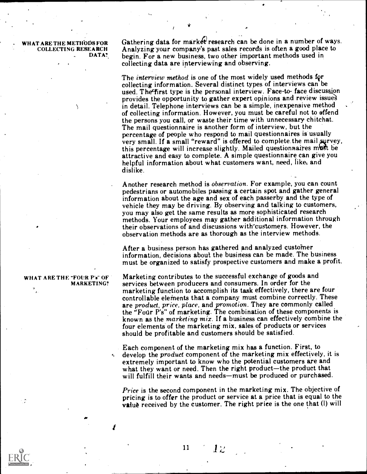AT ARE THE METHODS FOR COLLECTING RESEARCH DATA?

N

Gathering data for market research can be done in a number of ways. Analyzing your company's past sales records is often a good place to begin. For a new business, two other important methods used in collecting data are interviewing and observing.

The *interview method* is one of the most widely used methods for collecting information. Several distinct types of interviews can be used. The first type is the personal interview. Face-to-face discussion provides the opportunity to gather expert opinions and review issua in detail. Telephone interviews can be a simple, inexpensive method of collecting information. However, you must be careful not to offend the persons you call, or waste their time with unnecessary chitchat. The mail questionnaire is another form of interview, but the percentage of people who respond to mail questionnaires is usually very small. If a small "reward" is offered to complete the mail survey, this percentage will increase slightly. Mailed questionnaires must be attractive and easy to complete. A simple questionnaire can give you helpful information about what customers want, need, like, and dislike.

Another research method is observation. For example, you can count pedestrians or automobiles passing a certain spot and gather general information about the age and sex of each passerby and the type of vehicle they may be driving. By observing and talking to customers, you may also get the same results as more sophisticated research methods. Your employees may gather additional information through their observations of and discussions with-customers. However, the observation methods are as thorough as the interview methods.

After a business person has gathered and analyzed customer information, decisions about the business can be made. The business must be organized to satisfy prospective customers and make a profit.

#### WHAT ARE THE "FOUR P's" OF MARKETING?

Marketing contributes to the successful exchange of goods and services between producers and consumers. In order for the marketing function to accomplish its task effectively, there are four controllable elements that a company must combine correctly. These are product, price, place, and promotion. They are commonly called the "Four P's" of marketing. The combination of these components is known as the marketing mix. If a business can effectively combine the four elements of the marketing mix, sales of products or services should be profitable and customers should be satisfied.

Each component of the marketing mix has a function. First, to develop the *product* component of the marketing mix effectively, it is extremely important to know who the potential customers are and what they want or need. Then the right product—the product that will fulfill their wants and needs—must be produced or purchased.

Price is the second component in the marketing mix. The objective of pricing is to offer the product or service at a price that is equal to the value received by the customer. The right price is the one that (I) will

 $1\overline{z}$ 



11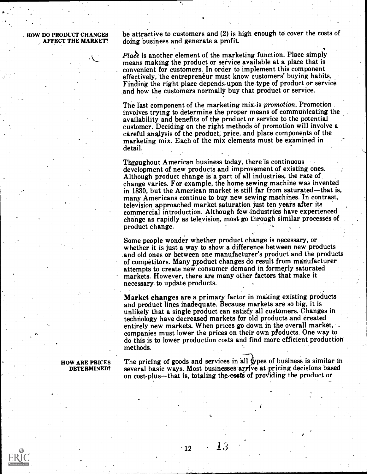HOW DO PRODUCT CHANGES be attractive to customers and (2) is high enough to cover the costs of AFFECT THE MARKET? doing business and generate a profit. doing business and generate a profit.

> *Place* is another element of the marketing function. Place simply means making the product or service available at a place that is convenient for customers. In order to implement this component effectively, the entrepreneur must know customers' buying habits. Finding the right place depends upon the type of product or service and how the customers normally buy that product or service.

The last component of the marketing mix-is *promotion*. Promotion involves trying to determine the proper means of communicating the availability and benefits of the product or service to the potential customer. Deciding on the right methods of promotion will involve a careful analysis of the product; price, and place components of the marketing mix. Each of the mix elements must be examined in detail.

Throughout American business today, there is continuous development of new products and improvement of existing ones. Although product change is a part of all industries, the rate of change varies. For example, the home sewing machine was invented in 1830, but the American market is still far from saturated—that is, many Americans continue to buy new sewing machines. In contrast, television approached market saturation just ten years after its commercial introduction. Although few industries have experienced change as rapidly as television, most go through similar processes of product change.

Some people wonder whether product change is necessary, or whether it is just a way to show a difference between new products and old ones or between one manufacturer's product and the products of competitors. Many product changes do result from manufacturer attempts to create new consumer demand in formerly saturated markets. However, there are many other factors that make it necessary to update products.

Market changes are a primary factor in making existing products and product lines inadequate. Because markets are so big, it is unlikely that a single product can satisfy all customers. Changes in technology have decreased markets for old products and created entirely new markets. When prices go down in the overall market, companies must lower the prices on their own pfoducts. One way to do this is to lower production costs and find more efficient production methods.

HOW ARE PRICES The pricing of goods and services in all types of business is similar in<br>DETERMINED? several basic ways. Most businesses arrive at pricing decisions based on cost-plus—that is, totaling the costs of providing the product or

13



 $\cdot$  12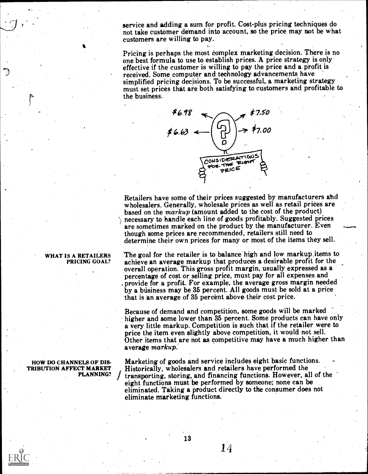service and adding a sum for profit. Cost-plus pricing techniques do not take customer demand into account, so the price may not be what customers are willing to pay.

Pricing is perhaps the most complex marketing decision. There is no one best formula to use to establish prices. A price strategy is only effective if the customer is willing to pay the price and a profit is received. Some computer and technology advancements have simplified pricing decisions. To be successful, a marketing strategy must set prices that are both satisfying to customers and profitable to the business.



Retailers have some of their prices suggested by manufacturers and wholesalers. Generally, wholesale prices as well as retail prices are based on the markup (amount added to the cost of the product) \ necessary to handle each line of goods profitably. Suggested prices are sometimes marked on the product by the manufacturer. Even though some prices are recommended, retailers still need to determine their own prices for many or most of the items they sell.

**PRICING GOAL?** achieve an average markup that produces a desirable profit for the overall operation. This gross profit margin, usually expressed as a 'The goal for the retailer is to balance high and low markup.items to achieve an average markup that produces a desirable profit for the percentage of cost or selling price, must pay for all expenses and provide for a profit. For example, the average gross margin needed by a business may be 35 percent. All goods must be sold at a price that is an average of 35 percent above their cost price.

> Because of demand and competition, some goods will be marked higher and some lower than 35 percent. Some products can have only a very little markup. Competition is such that if the retailer were to price the item even slightly above competition, it would not sell. Other items that are not as competitive may have a much higher than average markup.

TRIBUTION AFFECT MARKET [Historically, wholesalers and retailers have performed the Marketing of goods and service includes eight basic functions. transporting, storing, and financing functions. However, all of the eight functions must be performed by someone; none can be eliminated. Taking a product directly to the consumer does not eliminate Marketing functions.

14

## WHAT IS A RETAILERS

### HOW DO CHANNELS OF DIS-PLANNING?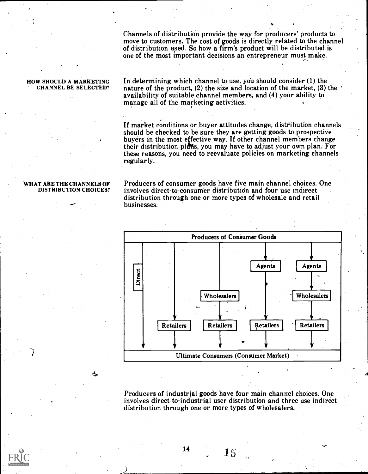Channels of distribution provide the way for producers' products to move to customers. The cost of goods is directly related to the channel of distribution used. So how a firm's product will be distributed is one of the most important decisions an entrepreneur must make.

#### HOW SHOULD A MARKETING CHANNEL BE SELECTED?

In determining which channel to use, you should consider  $(1)$  the nature of the product, (2) the size and location of the market, (3) the availability of suitable channel members, and (4) your ability to manage all of the marketing activities.

If market conditions or buyer attitudes change, distribution channels should be checked to be sure they are getting goods to prospective buyers in the most effective way. If other channel members change their distribution plans, you may have to adjust your own plan. For these reasons, you need to reevaluate policies on marketing channels regularly.

#### WHAT ARE THE CHANNELS OF DISTRIBUTION CHOICES?

يبقم

Producers of consumer goods have five main channel choices. One involves direct-to-consumer distribution and four use indirect distribution through one or more types of wholesale and retail businesses.



Producers of industrial goods have four main channel choices. One involves direct-to-industrial user distribution and three use indirect distribution through one or more types of wholesalers.

\_ 15

 $\checkmark$ 

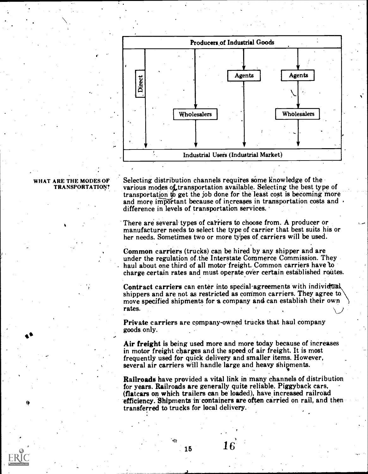

#### WHAT ARE THE MODES OF TRANSPORTATION?

Selecting distribution channels requires some knowledge of the various modes of transportation available. Selecting the best type of transportation to get the job done for the least cost is becoming more and more important because of increases in transportation costs and  $\cdot$ difference in levels of transportation services.

There are several types of carriers to choose from. A producer or manufacturer needs to select the type of carrier that best suits his or her needs. Sometimes two or more types of carriers will be used.

Common carriers (trucks) can be hired by any shipper and are under the regulation of the Interstate Commerce Commission. They haul about one third of all motor freight. Common carriers have to charge zertain rates and must operate over certain established routes.

Contract carriers can enter into special agreements with individual shippers and are not as restricted as common carriers. They agree to move specified shipments for a company and can establish their own rates.

Private carriers are company-owned trucks that haul company goods only.

Air freight is being used more and more today because of increases in motor freight charges and the speed of air freight. It is most frequently used for quick delivery and smaller items. However, several air carriers Will handle large and heavy Shipments. <sup>9</sup>

Railroads have provided a vital link in many channels of distribution<br>for years. Railroads are generally quite reliable. Piggyback cars, (flatcars on which trailers can be loaded), have increased railroad efficiency. Shipments in containers are often carried on rail, and then transferred to trucks for local delivery.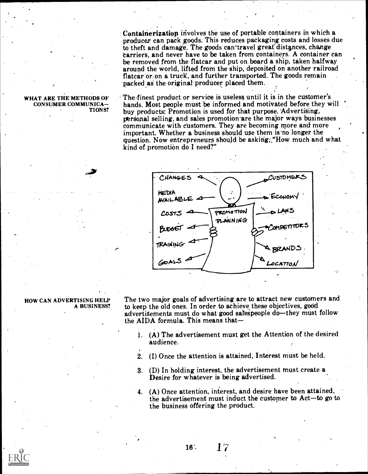Containerization involves the use of portable containers in which a producer can pack goods. This reduces packaging costs and losses due<br>to theft and damage. The goods can travel great distances, change carriers, and never have to be taken from containers. A container can be removed from the flatcar and put on board a ship, taken halfway around the world, lifted from the ship, deposited on another railroad flatcar or.on a truck, and further transported. The goods remain 'packed ag the original producer placed them.

#### WHAT ARE THE 'METHODS OF CONSUMER COMMUNICA TIONS?

41,

The-finest product or service is useless until it is in the customer's hands. Most people must be informed and motivated before they will buy products: Promotion is used for that purpose. Advertising, personal selling, and sales promotion are the major ways businesses communicate with customers. They are becoming more and more important. Whether a business should use them is no longer the question. Now entrepreneurs should be asking; "How much and what kind of promotion do I need?"



#### HOW CAN ADVERTISING HELP A BUSINESS?

The two major goals of advertising are to attract new customers and to keep the old ones. In order to achieve these objectives, good advertisements must do what good salespeople do-they must follow the AIDA formula. This means that-

- 1. (A) The advertisement must get the Attention of the desired audience.
- 2. (I) Once the attention is attained, Interest must be held.
- 3. (D) In holding interest, the advertisement must create a Desire for whatever is being advertised.
- 4. (A) Once attention, interest, and desire have been attained, the advertisement must induct the customer to  $Act-t\sigma$  go to the business offering the product.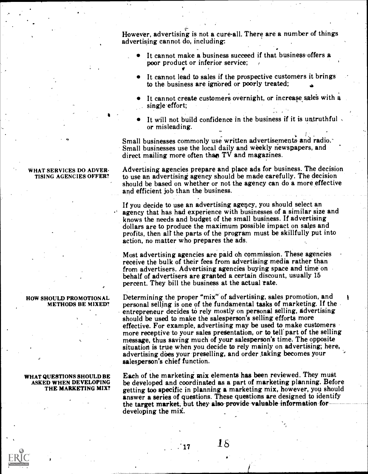However, advertising is not a cure-all. There are a number of things advertising cannot do, including:

- It cannot make a business succeed if that business offers a poor product or inferior service:
- It cannot lead to sales if the prospective customers it brings to the business are ignored or poorly treated;
- It cannot create customers overnight, or increase sales with a single effort;
- It will not build confidence in the business if it is untruthful or misleading.

Small businesses commonly use written advertisements and radio. Small businesses use the local daily and weekly newspapers, and direct mailing more often than  $TV$  and magazines.

Advertising agencies prepare and place ads for business. The decision to use an advertising agency should be made carefully. The decision should be based on whether or not the agency can do a more effective and efficient job than the business.

If you decide to use an advertising agency, you should select an agency that has had experience with businesses of a similar size and knows the needs and budget of the small business. If advertising profits, then all the parts of the program must be skillfully put into action, no matter who prepares the ads.

Most advertising agencies are paid oh commission. These agencies receive the bulk of their fees from advertising media rather than from advertisers. Advertising agencies buying space and time on behalf of advertisers are granted a certain discount, usually 15 percent. They bill the business at the actual rate.

Determining the proper "mix" of advertising, sales promotion, and personal selling is one of the fundamental tasks of marketing. If the entrepreneur decides to rely mostly on personal selling, advertising should be used to make the salesperson's selling efforts more effective. For example, advertising may be used to make customers more receptive to your sales pregentation, or to tell'part of the selling message, thus saving much of your salesperson's time. The opposite situation is true when you decide to rely mainly on advertising; here, advertising does your preselling, and order taking becomes your salesperson's chief function.

WHAT QUESTIONS SHOULD BE Each of the marketing mix elements has been reviewed. They must<br>ASKED WHEN DEVELOPING be developed and coordinated as a part of marketing planning. Before Each of the marketing mix elements has been reviewed. They must getting too specific in planning a marketing mix, however, you should answer a series of questions. These questions are designed to identify the target market, but they- also-provide valuable information for developing the mix.

 $15$  18

#### WHAT SERVICES DO ADVER-TISING AGENCIES OFFER?

HOW SHOULD PROMOTIONAL METHODS BE MIXED?

### ASKED WHEN DEVELOPING THE MARKETING MIX?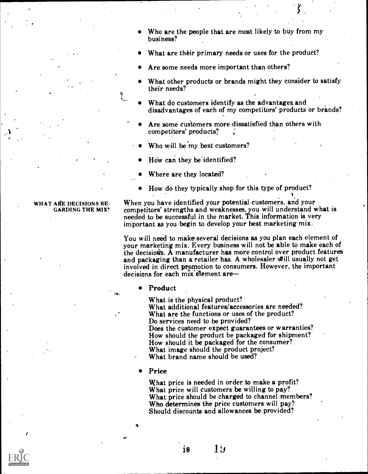- Who are the people that are most likely to buy from my business?
- What are their primary needs or uses for the product?
- Are some needs more important than others?
- What other products or brands might they consider to satisfy their needs?
- What do customers identify as the advantages and disadvantages of each of my competitors' products or brands?
- Are some customers more dissatisfied than others with competitors' products?
- Who will be'my best customers?
- How can they be identified?
- Where are they located?
- How do they typically. shop for this type of product?

#### WHAT ARE DECISIONS RE-GARDING THE MIX?

When you have identified your potential customers, and your competitors' strengths and weaknesses, you will understand what is needed to be successful in the market. This information is very important as you begin to develop your best marketing mix.

You will need to make several decisions as you plan each element of your marketing mix. Every business will not be able to make each of the decisions. A manufacturer has more control over product features and packaging than a retailer has. A wholesaler will usually not get involved in direct promotion to consumers. However, the important decisions for each mix element are

#### Product

What is the physical product?<br>What additional features/accessories are needed? What are the functions or uses of the product? Do services need to be provided? Does the customer expect guarantees or warranties? How should the product be packaged for shipment? How should it be packaged for the consumer? What image should the product project? What brand name should be used?

Price

What price is needed in order to make a profit? What price will customers be willing to pay? What price should be charged to channel members?<br>Who determines the price customers will pay? Should discounts and allowances be provided?

 $18<sup>°</sup>$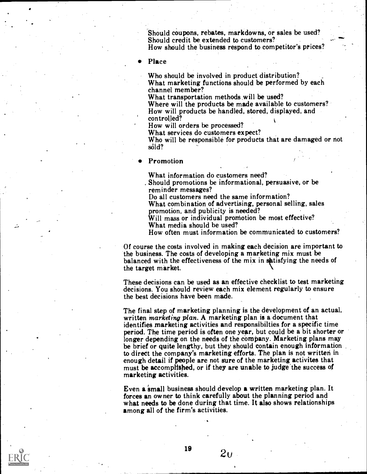Should coupons, rebates, markdowns, or sales be used? Should credit be extended to customers? How should the business respond to competitor's prices?

Place

Who should be involved in product distribution? What marketing functions should be performed by each channel member?<br>What transportation methods will be used?

Where will the products be made available to customers? How will products be handled, stored, displayed, and controlled?

How will orders be processed?<br>What services do customers expect?

Who will be responsible for products that are damaged or not såld?

Promotion

What information do customers need?

Should promotions be informational, persuasive, or be

reminder messages? Do all customers need the same information?

What combination of advertising, personal selling, sales promotion, and publicity is needed?

Will mass or individual promotion be most effective?

What media should be used?

How often must information be communicated to customers?

Of course the costs involved in making each decision are important to the business. The costs of developing a marketing mix must be balanced with the effectiveness of the mix in substisfying the needs of the target market.

These decisions can be used as an effective checklist to test marketing decisions. You should review each mix element regularly to ensure the best decisions have been made.

The final step of marketing planning is the development of an actual, written marketing plan. A marketing plan is a document that identifies marketing activities and responsibilties for a specific time period. The time period is often one year, but could be a bit shorter or longer depending on the needs of the company. Marketing plans may be brief or quite lengthy, but they should contain enough information to direct the company's marketing efforts. The plan is not written in enough detail if people are not sure of the marketing activites that must be accomplished, or if they are unable to judge the success of marketing activities.

Even a small business should develop a written marketing plan. It forces an owner to think carefully about the planning period and what needs to be done during that time. It also shows relationships among all of the firm's activities.

 $2<sub>U</sub>$ 

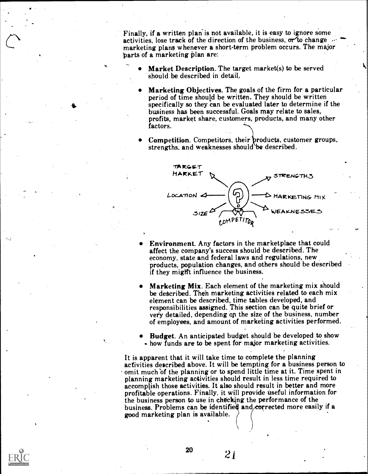Finally, if a written plan is not available, it is easy to ignore some activities, lose track of the direction of the business,  $\sigma r'$  to change marketing plans whenever a short-term problem occurs. The major parts of a marketing plan are:

- Market Description. The target market(s) to be served should be described in detail.
- Marketing Objectives. The goals of the firm for a particular period of time should be written. They should be written specifically so they can be evaluated later to determine if the business has been successful. Goals may relate to sales, profits, market share, customers, products, and many other factors.
- Competition. Competitors, their products, customer groups, strengths, and weaknesses should be described.



- Environment. Any factors in the marketplace that could affect the company's success should be described. The economy, state and federal laws and regulations, new products, population changes, and others should be described if they might influence the business.
- Marketing Mix. Each element of the marketing mix should be described. Then marketing activities related to each mix element can be described, time tables developed, and responsibilities assigned. This section can be quite brief or very detailed, depending on the size of the business, number of employees, and amount of marketing activities performed.
- Budget. An anticipated budget should be developed to show how funds are to be spent for major marketing activities.

It is apparent that it will take time to complete the planning activities described above. It will be tempting for a business person to omit much 'of the planning or to spend little time at it. Time spent in planning marketing ac4ivities should result in less time required to accomplish those activities. It also should result in better and more profitable operations. Finally, it will provide useful information for the business person to use in checking the performance of the business. Problems can be identified and corrected more easily if a good marketing plan is available.

 $21$ 

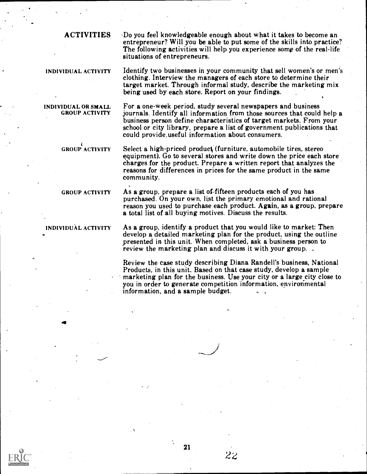INDIVIDUAL OR SMALL GROUP ACTIVITY

ACTIVITIES Do you feel knowledgeable enough about what it takes to become an entrepreneur? Will you be able to put some of the skills into practice? The following activities will help you experience some of the real-life situations of entrepreneurs.

INDIVIDUAL ACTIVITY Identify two businesses in your community that sell women's or men's clothing. Interview the managers of each store to determine their target market. Through informal study, describe the marketing mix being used by each store. Report on your findings.

> For a one-week period, study several newspapers and business journals. Identify all information from those sources that could help a business person define characteristics of target markets. From your school or city library, prepare a list of government publications that could provide.useful information about consumers.

Select a high-priced product (furniture, automobile tires, stereo equipment). Go to several stores and write down the price each store charges for the product. Prepare a written report that analyzes the reasons for differences in prices for the same product in the same community.

GROUP ACTIVITY

GROUP ACTIVITY As a group, prepare a list of-fifteen products each of you has purchased. On your own, list the primary emotional and rational reason you used to purchase each product. Again, as a group, prepare a total list of all buying motives. Discuss the results.

INDIVIDUAL ACTIVITY As a group, identify a product that you would like to market: Then develop a detailed marketing plan for the product, using the outline presented in this unit. When completed, ask a business person to review the marketing plan and discuss it with your group...

> Review the case study describing Diana Randell's business, National Products, in this unit. Based on that case study, develop a sample marketing plan for the business. Use your city or a large city close to you in order to generate competition information, environmental information, and a sample budget.

> > $2\overline{2}$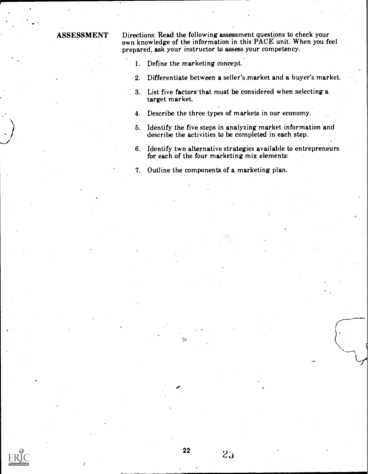ASSESSMENT Directions: Read the following assessment questions to check your own knowledge of the information in this PACE unit. When you feel prepared, ask your instructor to assess your competency.

1. Define the marketing concept.

22

- 2. Differentiate between a seller's market and a buyer's market.
- 3. List five factors that must be considered when selecting a target market.
- 4. Describe the three types of markets in our economy.
- 5. Identify the five steps in analyzing market information and describe the activities to be completed in each step.
- 6. Identify two alternative strategies available to entrepreneurs for each of the four marketing mix elements:
- 7. Outline the components of a marketing plan.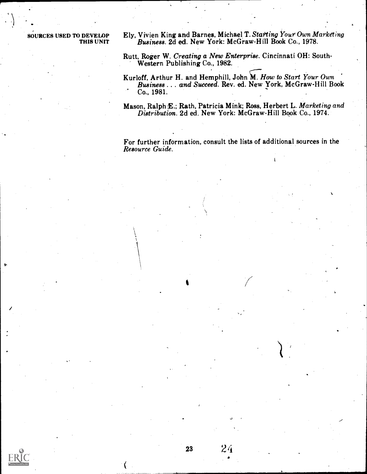SOURCES USED TO DEVELOP Ely, Vivien King and Barnes, Michael T. Starting Your Own Marketing<br>THIS UNIT Business, 2d ed. New York: McGraw-Hill Book Co., 1978. Business. 2d ed. New York: McGraw-Hill Book Co., 1978.

> Rutt, Roger W. Creating a New Enterprise. Cincinnati OH: South-Western Publishing Co., 1982.  $\sqrt{2}$

Kurloff, Arthur H. and Hemphill, John M. How to Start Your Own Business . . . and Succeed. Rev. ed. New York, McGraw-Hill Book Co., 1981.

Mason, Ralph E.; Rath, Patricia Mink; Ross, Herbert L. Marketing and Distribution. 2d ed. New York: McGraw-Hill Book Co., 1974.

For further information, consult the lists of additional sources in the Resource Guide.